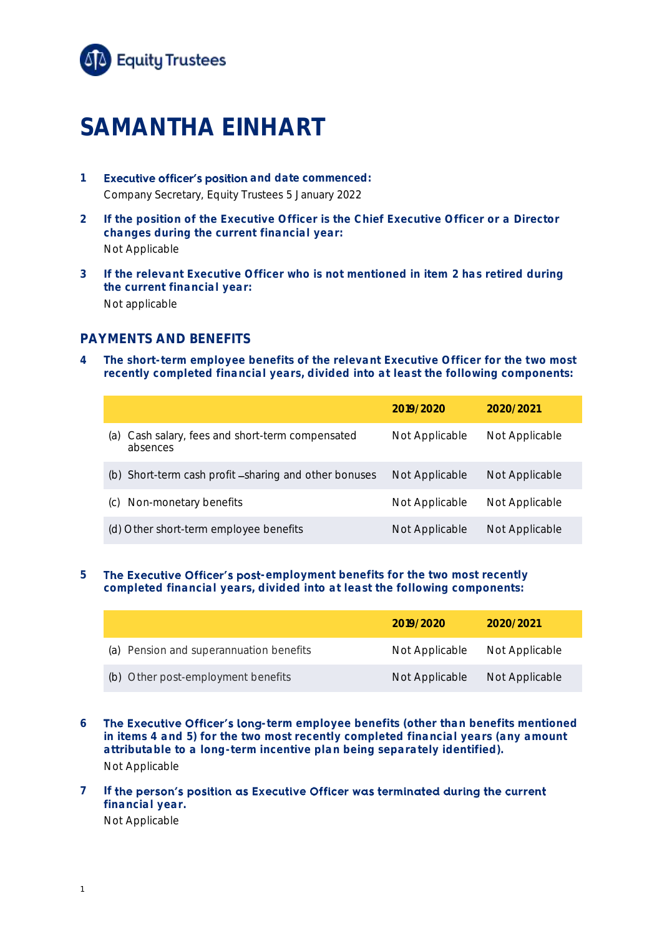

# **SAMANTHA EINHART**

- **1 Executive officer's position** and date commenced: Company Secretary, Equity Trustees 5 January 2022
- **2 If the position of the Executive Officer is the Chief Executive Officer or a Director changes during the current financial year:** Not Applicable
- **3 If the relevant Executive Officer who is not mentioned in item 2 has retired during the current financial year:** Not applicable

## **PAYMENTS AND BENEFITS**

**4 The short-term employee benefits of the relevant Executive Officer for the two most recently completed financial years, divided into at least the following components:**

|                                                                 | 2019/2020      | 2020/2021      |
|-----------------------------------------------------------------|----------------|----------------|
| Cash salary, fees and short-term compensated<br>(a)<br>absences | Not Applicable | Not Applicable |
| Short-term cash profit -sharing and other bonuses<br>(b)        | Not Applicable | Not Applicable |
| Non-monetary benefits<br>(C)                                    | Not Applicable | Not Applicable |
| (d) Other short-term employee benefits                          | Not Applicable | Not Applicable |

#### **5** The Executive Officer's post-employment benefits for the two most recently **completed financial years, divided into at least the following components:**

|                                         | 2019/2020      | 2020/2021      |
|-----------------------------------------|----------------|----------------|
| (a) Pension and superannuation benefits | Not Applicable | Not Applicable |
| (b) Other post-employment benefits      | Not Applicable | Not Applicable |

6 **The Executive Officer's long**-term employee benefits (other than benefits mentioned **in items 4 and 5) for the two most recently completed financial years (any amount attributable to a long-term incentive plan being separately identified).** Not Applicable

#### 7 If the person's position as Executive Officer was terminated during the current **financial year.** Not Applicable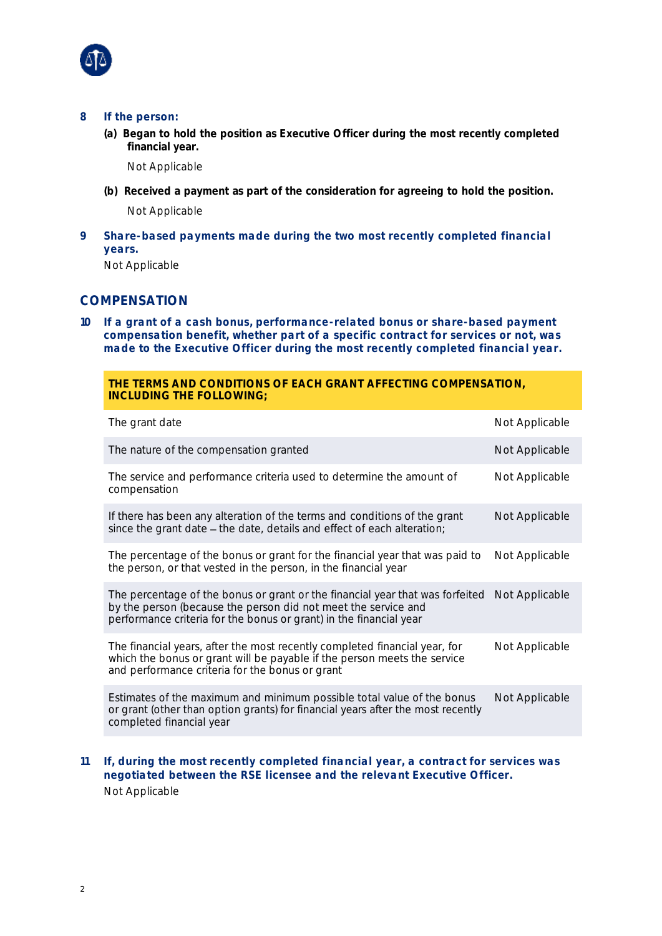

- **8 If the person:**
	- (a) Began to hold the position as Executive Officer during the most recently completed financial year.

Not Applicable

- (b) Received a payment as part of the consideration for agreeing to hold the position. Not Applicable
- **9 Share-based payments made during the two most recently completed financial years.**

Not Applicable

## **COMPENSATION**

**10 If a grant of a cash bonus, performance-related bonus or share-based payment compensation benefit, whether part of a specific contract for services or not, was made to the Executive Officer during the most recently completed financial year.**

#### **THE TERMS AND CONDITIONS OF EACH GRANT AFFECTING COMPENSATION, INCLUDING THE FOLLOWING;**

| The grant date                                                                                                                                                                                                        | Not Applicable |
|-----------------------------------------------------------------------------------------------------------------------------------------------------------------------------------------------------------------------|----------------|
| The nature of the compensation granted                                                                                                                                                                                | Not Applicable |
| The service and performance criteria used to determine the amount of<br>compensation                                                                                                                                  | Not Applicable |
| If there has been any alteration of the terms and conditions of the grant<br>since the grant date - the date, details and effect of each alteration;                                                                  | Not Applicable |
| The percentage of the bonus or grant for the financial year that was paid to<br>the person, or that vested in the person, in the financial year                                                                       | Not Applicable |
| The percentage of the bonus or grant or the financial year that was forfeited<br>by the person (because the person did not meet the service and<br>performance criteria for the bonus or grant) in the financial year | Not Applicable |
| The financial years, after the most recently completed financial year, for<br>which the bonus or grant will be payable if the person meets the service<br>and performance criteria for the bonus or grant             | Not Applicable |
| Estimates of the maximum and minimum possible total value of the bonus<br>or grant (other than option grants) for financial years after the most recently<br>completed financial year                                 | Not Applicable |
|                                                                                                                                                                                                                       |                |

**11 If, during the most recently completed financial year, a contract for services was negotiated between the RSE licensee and the relevant Executive Officer.** Not Applicable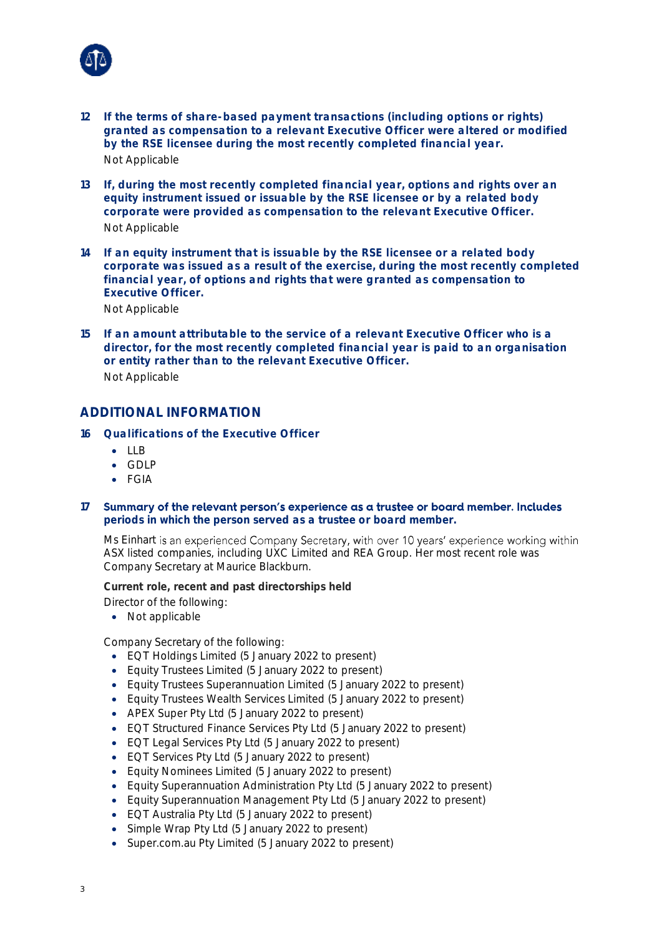

- **12 If the terms of share-based payment transactions (including options or rights) granted as compensation to a relevant Executive Officer were altered or modified by the RSE licensee during the most recently completed financial year.** Not Applicable
- **13 If, during the most recently completed financial year, options and rights over an equity instrument issued or issuable by the RSE licensee or by a related body corporate were provided as compensation to the relevant Executive Officer.** Not Applicable
- **14 If an equity instrument that is issuable by the RSE licensee or a related body corporate was issued as a result of the exercise, during the most recently completed financial year, of options and rights that were granted as compensation to Executive Officer.**

Not Applicable

**15 If an amount attributable to the service of a relevant Executive Officer who is a director, for the most recently completed financial year is paid to an organisation or entity rather than to the relevant Executive Officer.** Not Applicable

### **ADDITIONAL INFORMATION**

- **16 Qualifications of the Executive Officer**
	- LLB
	- GDLP
	- FGIA
- **17** Summary of the relevant person's experience as a trustee or board member. Includes **periods in which the person served as a trustee or board member.**

Ms Einhart is an experienced Company Secretary, with over 10 years' experience working within ASX listed companies, including UXC Limited and REA Group. Her most recent role was Company Secretary at Maurice Blackburn.

Current role, recent and past directorships held

- Director of the following:
	- Not applicable

Company Secretary of the following:

- EQT Holdings Limited (5 January 2022 to present)
- Equity Trustees Limited (5 January 2022 to present)
- Equity Trustees Superannuation Limited (5 January 2022 to present)
- Equity Trustees Wealth Services Limited (5 January 2022 to present)
- APEX Super Pty Ltd (5 January 2022 to present)
- EQT Structured Finance Services Pty Ltd (5 January 2022 to present)
- EQT Legal Services Pty Ltd (5 January 2022 to present)
- EQT Services Pty Ltd (5 January 2022 to present)
- Equity Nominees Limited (5 January 2022 to present)
- Equity Superannuation Administration Pty Ltd (5 January 2022 to present)
- Equity Superannuation Management Pty Ltd (5 January 2022 to present)
- EQT Australia Pty Ltd (5 January 2022 to present)
- Simple Wrap Pty Ltd (5 January 2022 to present)
- Super.com.au Pty Limited (5 January 2022 to present)